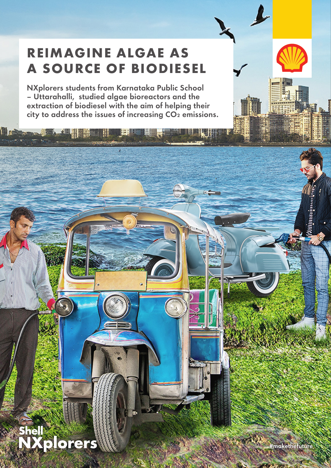# **REIMAGINE ALGAE AS A SOURCE OF BIODIESEL**

NXplorers students from Karnataka Public School – Uttarahalli, studied algae bioreactors and the extraction of biodiesel with the aim of helping their city to address the issues of increasing  $CO<sub>2</sub>$  emissions.

- 田

## **Shell NXplorers**

**Lating the Hotel Hill** 

#makethefuture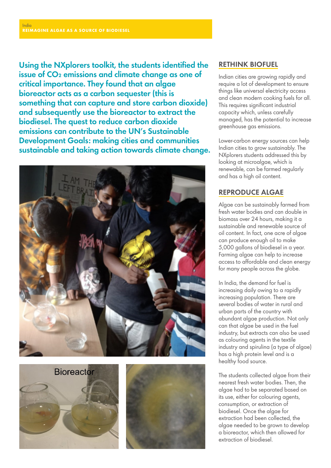Using the NXplorers toolkit, the students identified the issue of CO₂ emissions and climate change as one of critical importance. They found that an algae bioreactor acts as a carbon sequester (this is something that can capture and store carbon dioxide) and subsequently use the bioreactor to extract the biodiesel. The quest to reduce carbon dioxide emissions can contribute to the UN's Sustainable Development Goals: making cities and communities sustainable and taking action towards climate change.







## RETHINK BIOFUEL

Indian cities are growing rapidly and require a lot of development to ensure things like universal electricity access and clean modern cooking fuels for all. This requires significant industrial capacity which, unless carefully managed, has the potential to increase greenhouse gas emissions.

Lower-carbon energy sources can help Indian cities to grow sustainably. The NXplorers students addressed this by looking at microalgae, which is renewable, can be farmed regularly and has a high oil content.

## REPRODUCE ALGAE

Algae can be sustainably farmed from fresh water bodies and can double in biomass over 24 hours, making it a sustainable and renewable source of oil content. In fact, one acre of algae can produce enough oil to make 5,000 gallons of biodiesel in a year. Farming algae can help to increase access to affordable and clean energy for many people across the globe.

In India, the demand for fuel is increasing daily owing to a rapidly increasing population. There are several bodies of water in rural and urban parts of the country with abundant algae production. Not only can that algae be used in the fuel industry, but extracts can also be used as colouring agents in the textile industry and spirulina (a type of algae) has a high protein level and is a healthy food source.

The students collected algae from their nearest fresh water bodies. Then, the algae had to be separated based on its use, either for colouring agents, consumption, or extraction of biodiesel. Once the algae for extraction had been collected, the algae needed to be grown to develop a bioreactor, which then allowed for extraction of biodiesel.